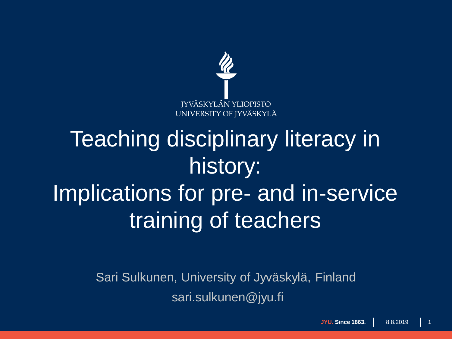

## Teaching disciplinary literacy in history: Implications for pre- and in-service training of teachers

Sari Sulkunen, University of Jyväskylä, Finland sari.sulkunen@jyu.fi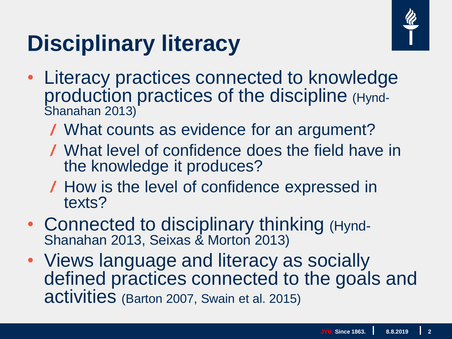# **Disciplinary literacy**



- Literacy practices connected to knowledge production practices of the discipline (Hynd-Shanahan 2013)
	- What counts as evidence for an argument?
	- What level of confidence does the field have in the knowledge it produces?
	- How is the level of confidence expressed in texts?
- Connected to disciplinary thinking (Hynd-Shanahan 2013, Seixas & Morton 2013)
- Views language and literacy as socially defined practices connected to the goals and activities (Barton 2007, Swain et al. 2015)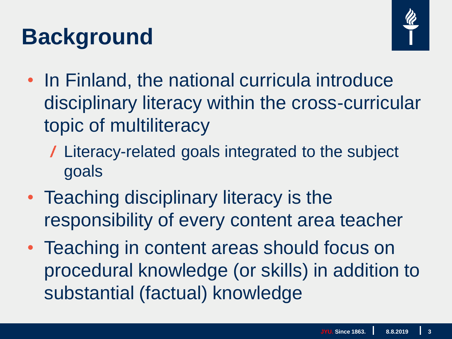# **Background**



- In Finland, the national curricula introduce disciplinary literacy within the cross-curricular topic of multiliteracy
	- Literacy-related goals integrated to the subject goals
- Teaching disciplinary literacy is the responsibility of every content area teacher
- Teaching in content areas should focus on procedural knowledge (or skills) in addition to substantial (factual) knowledge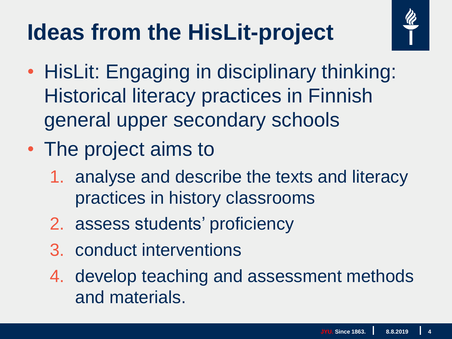# **Ideas from the HisLit-project**



- HisLit: Engaging in disciplinary thinking: Historical literacy practices in Finnish general upper secondary schools
- The project aims to
	- 1. analyse and describe the texts and literacy practices in history classrooms
	- 2. assess students' proficiency
	- 3. conduct interventions
	- 4. develop teaching and assessment methods and materials.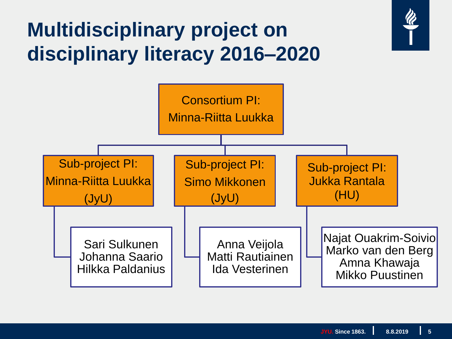#### **Multidisciplinary project on disciplinary literacy 2016–2020**

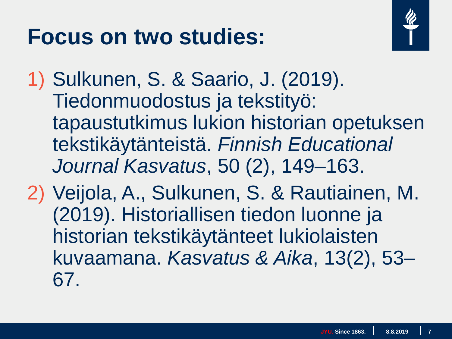### **Focus on two studies:**



- 1) Sulkunen, S. & Saario, J. (2019). Tiedonmuodostus ja tekstityö: tapaustutkimus lukion historian opetuksen tekstikäytänteistä. *Finnish Educational Journal Kasvatus*, 50 (2), 149–163.
- 2) Veijola, A., Sulkunen, S. & Rautiainen, M. (2019). Historiallisen tiedon luonne ja historian tekstikäytänteet lukiolaisten kuvaamana. *Kasvatus & Aika*, 13(2), 53– 67.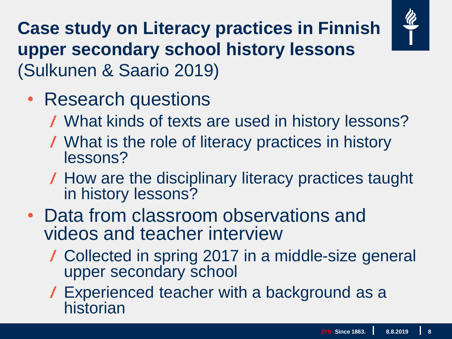

**Case study on Literacy practices in Finnish upper secondary school history lessons**  (Sulkunen & Saario 2019)

- Research questions
	- What kinds of texts are used in history lessons?
	- What is the role of literacy practices in history lessons?
	- How are the disciplinary literacy practices taught in history lessons?
- Data from classroom observations and videos and teacher interview
	- Collected in spring 2017 in a middle-size general upper secondary school
	- Experienced teacher with a background as a historian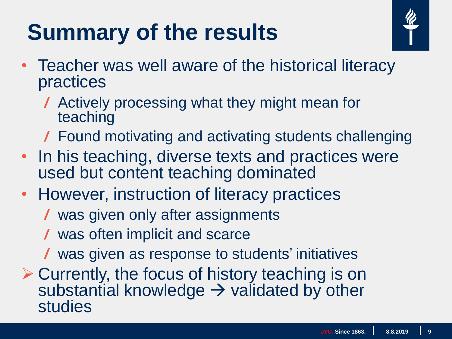# **Summary of the results**



- Teacher was well aware of the historical literacy practices
	- Actively processing what they might mean for teaching
	- Found motivating and activating students challenging
- In his teaching, diverse texts and practices were used but content teaching dominated
- However, instruction of literacy practices
	- was given only after assignments
	- was often implicit and scarce
	- was given as response to students' initiatives
- **≻ Currently, the focus of history teaching is on** substantial knowledge  $\rightarrow$  validated by other studies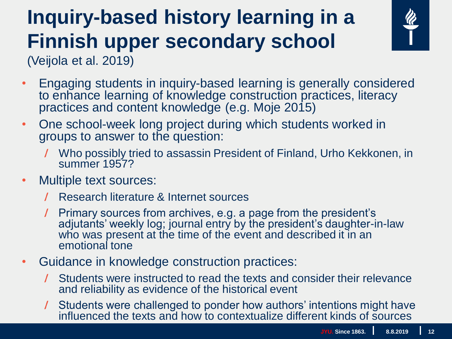## **Inquiry-based history learning in a Finnish upper secondary school**



(Veijola et al. 2019)

- Engaging students in inquiry-based learning is generally considered to enhance learning of knowledge construction practices, literacy practices and content knowledge (e.g. Moje 2015)
- One school-week long project during which students worked in groups to answer to the question:
	- Who possibly tried to assassin President of Finland, Urho Kekkonen, in summer 1957?
- Multiple text sources:
	- Research literature & Internet sources
	- Primary sources from archives, e.g. a page from the president's adjutants' weekly log; journal entry by the president's daughter-in-law who was present at the time of the event and described it in an emotional tone
- Guidance in knowledge construction practices:
	- Students were instructed to read the texts and consider their relevance and reliability as evidence of the historical event
	- Students were challenged to ponder how authors' intentions might have influenced the texts and how to contextualize different kinds of sources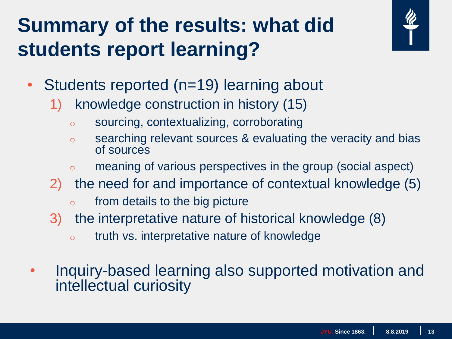#### **Summary of the results: what did students report learning?**



- Students reported (n=19) learning about
	- 1) knowledge construction in history (15)
		- o sourcing, contextualizing, corroborating
		- o searching relevant sources & evaluating the veracity and bias of sources
		- o meaning of various perspectives in the group (social aspect)
	- 2) the need for and importance of contextual knowledge (5)
		- $\circ$  from details to the big picture
	- 3) the interpretative nature of historical knowledge (8)
		- o truth vs. interpretative nature of knowledge
- Inquiry-based learning also supported motivation and intellectual curiosity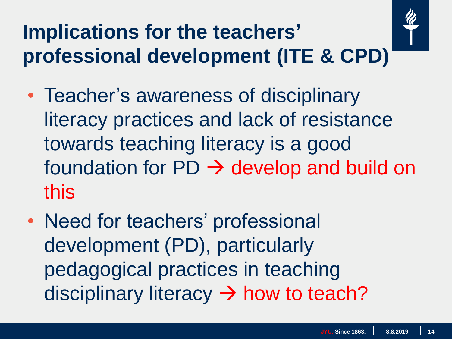## **Implications for the teachers' professional development (ITE & CPD)**



- Teacher's awareness of disciplinary literacy practices and lack of resistance towards teaching literacy is a good foundation for  $PD \rightarrow$  develop and build on this
- Need for teachers' professional development (PD), particularly pedagogical practices in teaching disciplinary literacy  $\rightarrow$  how to teach?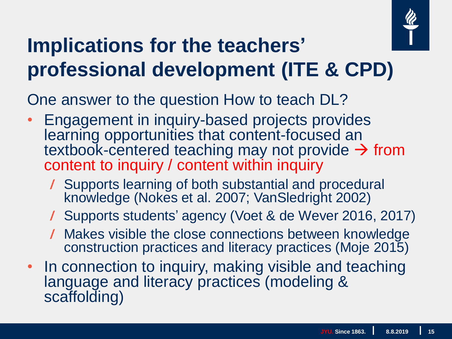

#### **Implications for the teachers' professional development (ITE & CPD)**

One answer to the question How to teach DL?

- Engagement in inquiry-based projects provides learning opportunities that content-focused an textbook-centered teaching may not provide  $\rightarrow$  from content to inquiry / content within inquiry
	- Supports learning of both substantial and procedural knowledge (Nokes et al. 2007; VanSledright 2002)
	- Supports students' agency (Voet & de Wever 2016, 2017)
	- Makes visible the close connections between knowledge construction practices and literacy practices (Moje 2015)
- In connection to inquiry, making visible and teaching language and literacy practices (modeling & scaffolding)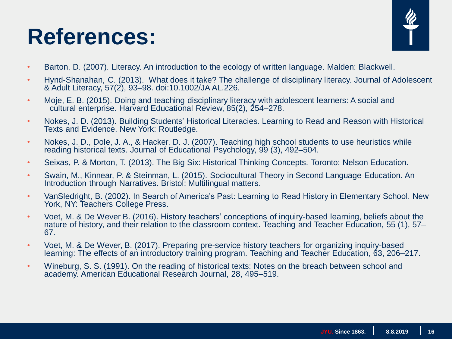#### **References:**



- Barton, D. (2007). Literacy. An introduction to the ecology of written language. Malden: Blackwell.
- Hynd-Shanahan, C. (2013). What does it take? The challenge of disciplinary literacy. Journal of Adolescent & Adult Literacy, 57(2), 93–98. doi:10.1002/JA AL.226.
- Moje, E. B. (2015). Doing and teaching disciplinary literacy with adolescent learners: A social and cultural enterprise. Harvard Educational Review, 85(2), 254–278.
- Nokes, J. D. (2013). Building Students' Historical Literacies. Learning to Read and Reason with Historical Texts and Evidence. New York: Routledge.
- Nokes, J. D., Dole, J. A., & Hacker, D. J. (2007). Teaching high school students to use heuristics while reading historical texts. Journal of Educational Psychology, 99 (3), 492–504.
- Seixas, P. & Morton, T. (2013). The Big Six: Historical Thinking Concepts. Toronto: Nelson Education.
- Swain, M., Kinnear, P. & Steinman, L. (2015). SocioculturaI Theory in Second Language Education. An Introduction through Narratives. Bristol: Multilingual matters.
- VanSledright, B. (2002). In Search of America's Past: Learning to Read History in Elementary School. New York, NY: Teachers College Press.
- Voet, M. & De Wever B. (2016). History teachers' conceptions of inquiry-based learning, beliefs about the nature of history, and their relation to the classroom context. Teaching and Teacher Education, 55 (1), 57– 67.
- Voet, M. & De Wever, B. (2017). Preparing pre-service history teachers for organizing inquiry-based learning: The effects of an introductory training program. Teaching and Teacher Education, 63, 206–217.
- Wineburg, S. S. (1991). On the reading of historical texts: Notes on the breach between school and academy. American Educational Research Journal, 28, 495–519.